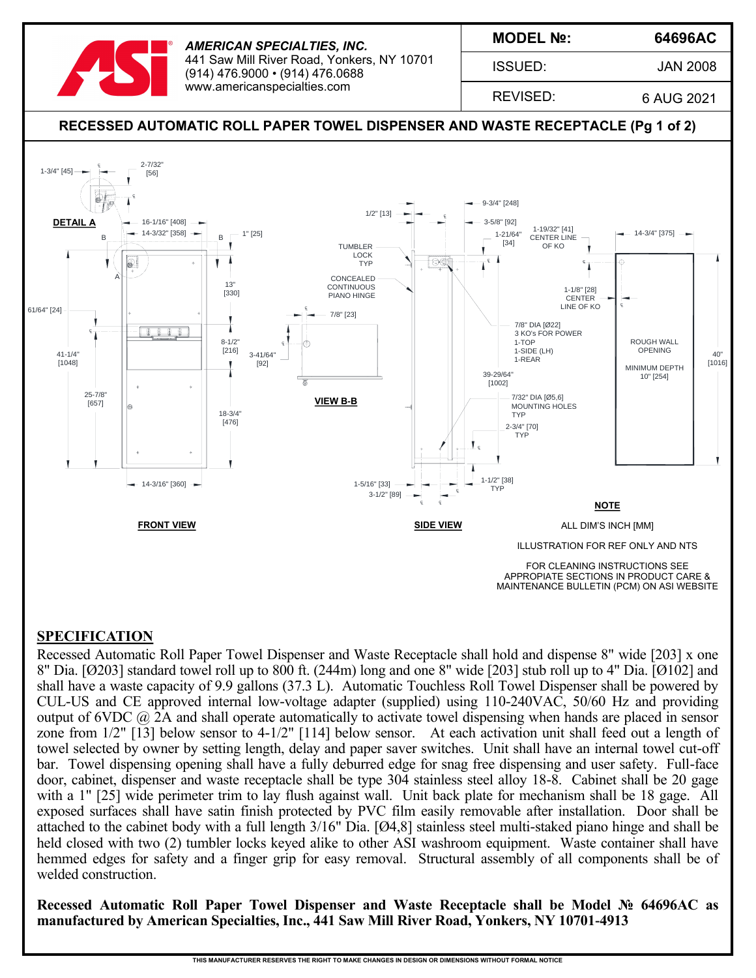

*AMERICAN SPECIALTIES, INC.* 441 Saw Mill River Road, Yonkers, NY 10701 (914) 476.9000 • (914) 476.0688 www.americanspecialties.com

**MODEL №:**

ISSUED:

**64696AC**

JAN 2008

REVISED:

6 AUG 2021



### **SPECIFICATION**

Recessed Automatic Roll Paper Towel Dispenser and Waste Receptacle shall hold and dispense 8" wide [203] x one 8" Dia. [Ø203] standard towel roll up to 800 ft. (244m) long and one 8" wide [203] stub roll up to 4" Dia. [Ø102] and shall have a waste capacity of 9.9 gallons (37.3 L). Automatic Touchless Roll Towel Dispenser shall be powered by CUL-US and CE approved internal low-voltage adapter (supplied) using 110-240VAC, 50/60 Hz and providing output of  $6VDC$   $@$  2A and shall operate automatically to activate towel dispensing when hands are placed in sensor zone from 1/2" [13] below sensor to 4-1/2" [114] below sensor. At each activation unit shall feed out a length of towel selected by owner by setting length, delay and paper saver switches. Unit shall have an internal towel cut-off bar. Towel dispensing opening shall have a fully deburred edge for snag free dispensing and user safety. Full-face door, cabinet, dispenser and waste receptacle shall be type 304 stainless steel alloy 18-8. Cabinet shall be 20 gage with a 1" [25] wide perimeter trim to lay flush against wall. Unit back plate for mechanism shall be 18 gage. All exposed surfaces shall have satin finish protected by PVC film easily removable after installation. Door shall be attached to the cabinet body with a full length 3/16" Dia. [Ø4,8] stainless steel multi-staked piano hinge and shall be held closed with two (2) tumbler locks keyed alike to other ASI washroom equipment. Waste container shall have hemmed edges for safety and a finger grip for easy removal. Structural assembly of all components shall be of welded construction.

**Recessed Automatic Roll Paper Towel Dispenser and Waste Receptacle shall be Model № 64696AC as manufactured by American Specialties, Inc., 441 Saw Mill River Road, Yonkers, NY 10701-4913**